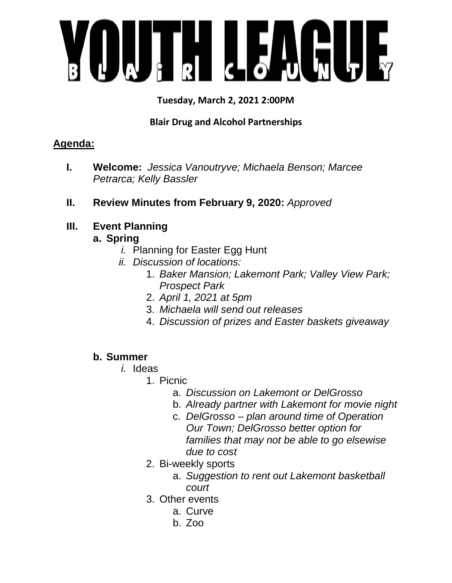

**Tuesday, March 2, 2021 2:00PM** 

## **Blair Drug and Alcohol Partnerships**

# **Agenda:**

- **I. Welcome:** *Jessica Vanoutryve; Michaela Benson; Marcee Petrarca; Kelly Bassler*
- **II. Review Minutes from February 9, 2020:** *Approved*

# **III. Event Planning**

### **a. Spring**

- *i.* Planning for Easter Egg Hunt
- *ii. Discussion of locations:*
	- 1. *Baker Mansion; Lakemont Park; Valley View Park; Prospect Park*
	- 2. *April 1, 2021 at 5pm*
	- 3. *Michaela will send out releases*
	- 4. *Discussion of prizes and Easter baskets giveaway*

#### **b. Summer**

- *i.* Ideas
	- 1. Picnic
		- a. *Discussion on Lakemont or DelGrosso*
		- b. *Already partner with Lakemont for movie night*
		- c. *DelGrosso plan around time of Operation Our Town; DelGrosso better option for families that may not be able to go elsewise due to cost*
	- 2. Bi-weekly sports
		- a. *Suggestion to rent out Lakemont basketball court*
	- 3. Other events
		- a. Curve
		- b. Zoo